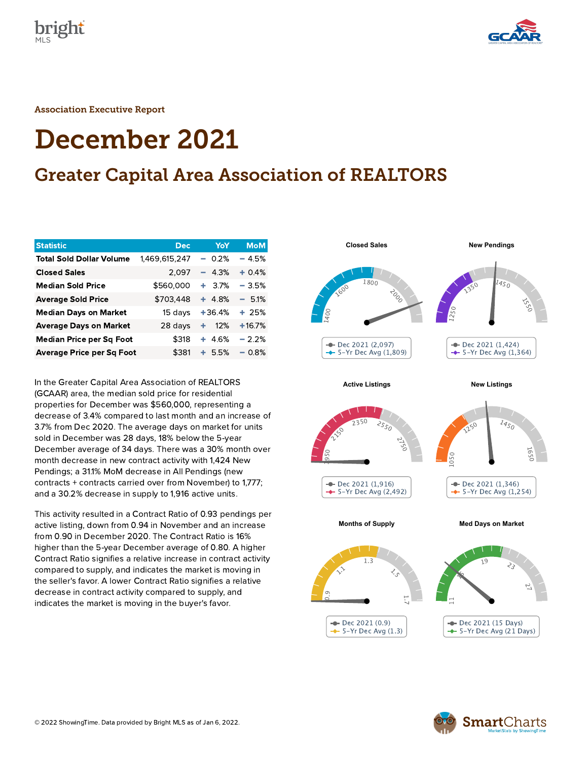



Association Executive Report

# December 2021

# Greater Capital Area Association of REALTORS

| <b>Statistic</b>                 | <b>Dec</b>    | YoY      | <b>MoM</b>  |
|----------------------------------|---------------|----------|-------------|
| <b>Total Sold Dollar Volume</b>  | 1,469,615,247 | $-0.2\%$ | $-4.5%$     |
| <b>Closed Sales</b>              | 2,097         | $-4.3%$  | $+0.4%$     |
| <b>Median Sold Price</b>         | \$560,000     | $+3.7%$  | $-3.5%$     |
| <b>Average Sold Price</b>        | \$703,448     | $+ 4.8%$ | 5.1%<br>- 1 |
| <b>Median Days on Market</b>     | 15 days       | $+36.4%$ | $+25%$      |
| <b>Average Days on Market</b>    | 28 days       | 12%<br>٠ | $+16.7%$    |
| <b>Median Price per Sq Foot</b>  | \$318         | $+ 4.6%$ | $-2.2%$     |
| <b>Average Price per Sq Foot</b> | \$381         | $+5.5%$  | $-0.8%$     |

In the Greater Capital Area Association of REALTORS (GCAAR) area, the median sold price for residential properties for December was \$560,000, representing a decrease of 3.4% compared to last month and an increase of 3.7% from Dec 2020. The average days on market for units sold in December was 28 days, 18% below the 5-year December average of 34 days. There was a 30% month over month decrease in new contract activity with 1,424 New Pendings; a 31.1% MoM decrease in All Pendings (new contracts + contracts carried over from November) to 1,777; and a 30.2% decrease in supply to 1,916 active units.

This activity resulted in a Contract Ratio of 0.93 pendings per active listing, down from 0.94 in November and an increase from 0.90 in December 2020. The Contract Ratio is 16% higher than the 5-year December average of 0.80. A higher Contract Ratio signifies a relative increase in contract activity compared to supply, and indicates the market is moving in the seller's favor. A lower Contract Ratio signifies a relative decrease in contract activity compared to supply, and indicates the market is moving in the buyer's favor.



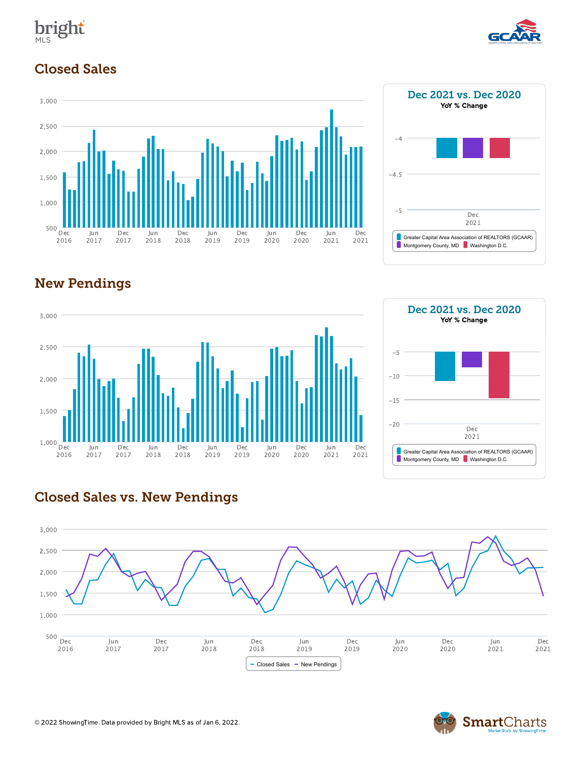



### Closed Sales



## New Pendings



# Dec 2021 vs. Dec 2020 YoY % Change Greater Capital Area Association of REALTORS (GCAAR) Montgomery County, MD Washington D.C. Dec 2021 -5 -4.5  $-4$



#### Closed Sales vs. New Pendings



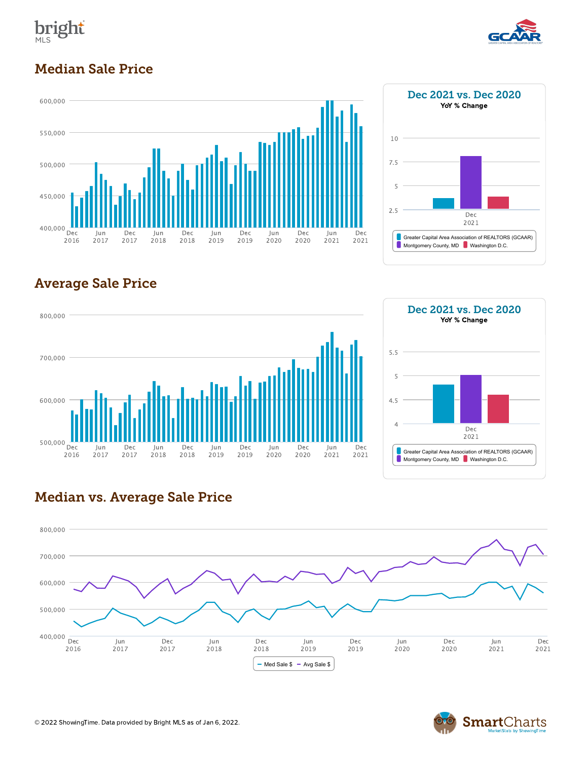



#### Median Sale Price





## Average Sale Price



# Dec 2021 vs. Dec 2020 YoY % Change Greater Capital Area Association of REALTORS (GCAAR) Montgomery County, MD Washington D.C. Dec 2021 4 4.5 5 5.5

#### Median vs. Average Sale Price